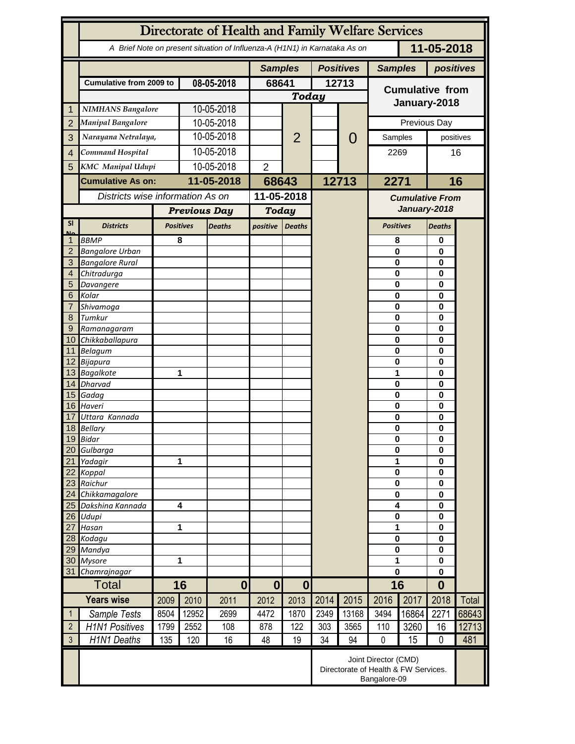|                | Directorate of Health and Family Welfare Services                          |                                                              |                        |                |                |                  |       |                                        |                             |                      |                      |        |  |
|----------------|----------------------------------------------------------------------------|--------------------------------------------------------------|------------------------|----------------|----------------|------------------|-------|----------------------------------------|-----------------------------|----------------------|----------------------|--------|--|
|                | A Brief Note on present situation of Influenza-A (H1N1) in Karnataka As on |                                                              |                        |                |                |                  |       | 11-05-2018                             |                             |                      |                      |        |  |
|                |                                                                            |                                                              |                        | <b>Samples</b> |                | <b>Positives</b> |       |                                        | <b>Samples</b><br>positives |                      |                      |        |  |
|                | Cumulative from 2009 to                                                    |                                                              | 08-05-2018             |                | 68641          |                  | 12713 |                                        | <b>Cumulative from</b>      |                      |                      |        |  |
|                |                                                                            |                                                              |                        |                | <b>Today</b>   |                  |       |                                        |                             |                      |                      |        |  |
|                | <b>NIMHANS Bangalore</b>                                                   |                                                              | 10-05-2018             |                |                |                  |       |                                        | January-2018                |                      |                      |        |  |
| $\overline{2}$ | Manipal Bangalore                                                          |                                                              | 10-05-2018             |                |                |                  |       |                                        | Previous Day                |                      |                      |        |  |
| 3              | Narayana Netralaya,                                                        |                                                              | 10-05-2018             |                |                | $\overline{2}$   |       | $\mathbf{O}$                           | Samples                     |                      | positives            |        |  |
| $\overline{4}$ | Command Hospital                                                           |                                                              | 10-05-2018             |                |                |                  |       |                                        |                             |                      | 16                   |        |  |
|                |                                                                            |                                                              |                        |                |                |                  |       |                                        | 2269                        |                      |                      |        |  |
| 5              | <b>KMC</b> Manipal Udupi                                                   |                                                              | 10-05-2018             |                | $\overline{2}$ |                  |       |                                        |                             |                      |                      |        |  |
|                | <b>Cumulative As on:</b>                                                   |                                                              | 11-05-2018             |                | 68643          |                  | 12713 |                                        | 2271                        |                      | 16                   |        |  |
|                | Districts wise information As on                                           |                                                              |                        | 11-05-2018     |                |                  |       | <b>Cumulative From</b><br>January-2018 |                             |                      |                      |        |  |
|                |                                                                            |                                                              | <b>Previous Day</b>    |                | <b>Today</b>   |                  |       |                                        |                             |                      |                      |        |  |
| <b>SI</b>      | <b>Districts</b>                                                           |                                                              | <b>Positives</b>       | <b>Deaths</b>  |                | <b>Deaths</b>    |       |                                        | <b>Positives</b>            |                      | <b>Deaths</b>        |        |  |
| 1              | <b>BBMP</b>                                                                |                                                              | 8                      |                |                |                  |       |                                        | 8                           |                      | 0                    |        |  |
| $\overline{2}$ | <b>Bangalore Urban</b>                                                     |                                                              |                        |                |                |                  |       |                                        | $\mathbf{0}$                |                      | 0                    |        |  |
| 3              | <b>Bangalore Rural</b>                                                     |                                                              |                        |                |                |                  |       |                                        | $\mathbf 0$                 |                      | $\bf{0}$             |        |  |
| $\overline{4}$ | Chitradurga                                                                |                                                              |                        |                |                |                  |       |                                        | $\mathbf 0$                 | 0                    |                      |        |  |
| 5              | Davangere                                                                  |                                                              |                        |                |                |                  |       |                                        | $\mathbf 0$                 |                      | 0                    |        |  |
| 6              | Kolar<br>Shivamoga                                                         |                                                              |                        |                |                |                  |       |                                        | $\mathbf 0$<br>0            |                      | 0<br>0               |        |  |
| 8              | Tumkur                                                                     |                                                              |                        |                |                |                  |       |                                        | $\mathbf 0$                 |                      | 0                    |        |  |
| 9              | Ramanagaram                                                                |                                                              |                        |                |                |                  |       |                                        | 0                           |                      | 0                    |        |  |
| 10             | Chikkaballapura                                                            |                                                              |                        |                |                |                  |       |                                        | $\bf{0}$                    |                      | 0                    |        |  |
| 11             | <b>Belagum</b>                                                             |                                                              |                        |                |                |                  |       |                                        | $\bf{0}$                    | $\bf{0}$             |                      |        |  |
| 12             | Bijapura                                                                   |                                                              |                        |                |                |                  |       |                                        | 0                           |                      | 0                    |        |  |
| 13             | Bagalkote                                                                  |                                                              | 1                      |                |                |                  |       |                                        | 1                           |                      | $\bf{0}$             |        |  |
| 14<br>15       | <b>Dharvad</b>                                                             |                                                              |                        |                |                |                  |       |                                        | $\bf{0}$                    |                      | 0<br>0               |        |  |
| 16             | Gadag<br>Haveri                                                            |                                                              |                        |                |                |                  |       |                                        |                             | $\bf{0}$<br>$\bf{0}$ |                      | 0<br>0 |  |
| 17             | Uttara Kannada                                                             |                                                              |                        |                |                |                  |       |                                        | $\bf{0}$                    |                      | $\bf{0}$             |        |  |
| 18             | <b>Bellary</b>                                                             |                                                              |                        |                |                |                  |       |                                        | $\pmb{0}$                   |                      | 0                    |        |  |
|                | 19 Bidar                                                                   |                                                              |                        |                |                |                  |       |                                        |                             | 0                    |                      |        |  |
| 20             | Gulbarga                                                                   |                                                              |                        |                |                |                  |       |                                        | $\bf{0}$                    |                      | $\bf{0}$<br>$\bf{0}$ |        |  |
| 21             | Yadagir                                                                    |                                                              |                        | 1              |                |                  |       |                                        |                             | 1                    |                      |        |  |
| 22<br>23       | Koppal<br>Raichur                                                          |                                                              |                        |                |                |                  |       |                                        | 0<br>0                      |                      | $\bf{0}$<br>$\bf{0}$ |        |  |
| 24             | Chikkamagalore                                                             |                                                              |                        |                |                |                  |       |                                        | $\pmb{0}$                   |                      | $\bf{0}$             |        |  |
| 25             | Dakshina Kannada                                                           | 4                                                            |                        |                |                |                  |       |                                        | 4                           |                      | $\bf{0}$             |        |  |
| 26             | Udupi                                                                      |                                                              |                        |                |                |                  |       |                                        | $\pmb{0}$                   |                      | $\bf{0}$             |        |  |
| 27             | Hasan                                                                      |                                                              | 1                      |                |                |                  |       |                                        | 1                           |                      | $\mathbf 0$          |        |  |
| 28             | Kodagu                                                                     |                                                              |                        |                |                |                  |       |                                        | 0                           |                      | $\bf{0}$             |        |  |
| 29             | Mandya<br><b>Mysore</b>                                                    |                                                              | 1                      |                |                |                  |       |                                        | $\mathbf 0$<br>1            |                      | $\bf{0}$             |        |  |
| 30<br>31       | Chamrajnagar                                                               |                                                              |                        |                |                |                  |       |                                        | 0                           |                      | 0<br>0               |        |  |
|                | <b>Total</b>                                                               |                                                              | 16<br>$\boldsymbol{0}$ |                | $\bf{0}$       | $\bf{0}$         |       |                                        | 16                          |                      | $\boldsymbol{0}$     |        |  |
|                | <b>Years wise</b>                                                          | 2009                                                         | 2010                   | 2011           | 2012           | 2013             | 2014  | 2015                                   | 2016                        | 2017                 | 2018                 | Total  |  |
| $\mathbf{1}$   | Sample Tests                                                               | 8504                                                         | 12952                  | 2699           | 4472           | 1870             | 2349  | 13168                                  | 3494                        | 16864                | 2271                 | 68643  |  |
| $\overline{2}$ | <b>H1N1 Positives</b>                                                      | 1799                                                         | 2552                   | 108            | 878            | 122              | 303   | 3565                                   | 110                         | 3260                 | 16                   | 12713  |  |
| $\mathfrak{Z}$ | H1N1 Deaths                                                                | 135                                                          | 120                    | 16             | 48             | 19               | 34    | 94                                     | 0                           | 15                   | 0                    | 481    |  |
|                |                                                                            | Joint Director (CMD)<br>Directorate of Health & FW Services. |                        |                |                |                  |       |                                        |                             |                      |                      |        |  |
|                |                                                                            | Bangalore-09                                                 |                        |                |                |                  |       |                                        |                             |                      |                      |        |  |